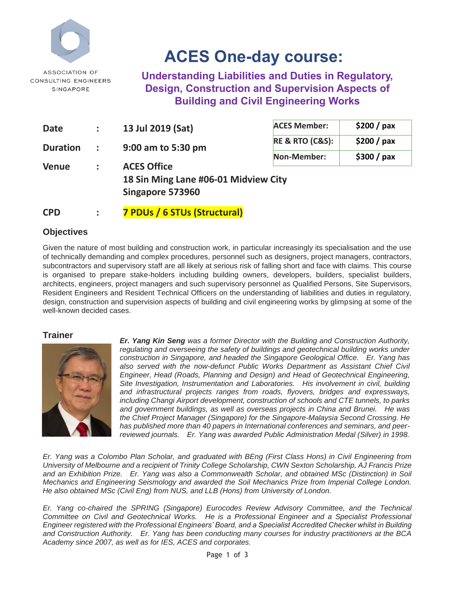

# **ACES One-day course:**

**Understanding Liabilities and Duties in Regulatory, Design, Construction and Supervision Aspects of Building and Civil Engineering Works**

| <b>Date</b>                             | $\ddot{\phantom{a}}$ | 13 Jul 2019 (Sat)                    | <b>ACES Member:</b>            | \$200 / pax |  |  |
|-----------------------------------------|----------------------|--------------------------------------|--------------------------------|-------------|--|--|
| <b>Duration</b>                         | $\ddot{\phantom{a}}$ | 9:00 am to 5:30 pm                   | <b>RE &amp; RTO (C&amp;S):</b> | \$200 / pax |  |  |
|                                         |                      |                                      | Non-Member:                    | \$300 / pax |  |  |
| <b>ACES Office</b><br><b>Venue</b><br>÷ |                      |                                      |                                |             |  |  |
|                                         |                      | 18 Sin Ming Lane #06-01 Midview City |                                |             |  |  |
|                                         |                      | Singapore 573960                     |                                |             |  |  |

**CPD : 7 PDUs / 6 STUs (Structural)**

### **Objectives**

Given the nature of most building and construction work, in particular increasingly its specialisation and the use of technically demanding and complex procedures, personnel such as designers, project managers, contractors, subcontractors and supervisory staff are all likely at serious risk of falling short and face with claims. This course is organised to prepare stake-holders including building owners, developers, builders, specialist builders, architects, engineers, project managers and such supervisory personnel as Qualified Persons, Site Supervisors, Resident Engineers and Resident Technical Officers on the understanding of liabilities and duties in regulatory, design, construction and supervision aspects of building and civil engineering works by glimpsing at some of the well-known decided cases.

#### **Trainer**



*Er. Yang Kin Seng was a former Director with the Building and Construction Authority, regulating and overseeing the safety of buildings and geotechnical building works under construction in Singapore, and headed the Singapore Geological Office. Er. Yang has*  also served with the now-defunct Public Works Department as Assistant Chief Civil *Engineer, Head (Roads, Planning and Design) and Head of Geotechnical Engineering, Site Investigation, Instrumentation and Laboratories. His involvement in civil, building and infrastructural projects ranges from roads, flyovers, bridges and expressways, including Changi Airport development, construction of schools and CTE tunnels, to parks and government buildings, as well as overseas projects in China and Brunei. He was the Chief Project Manager (Singapore) for the Singapore-Malaysia Second Crossing. He has published more than 40 papers in International conferences and seminars, and peerreviewed journals. Er. Yang was awarded Public Administration Medal (Silver) in 1998.* 

*Er. Yang was a Colombo Plan Scholar, and graduated with BEng (First Class Hons) in Civil Engineering from University of Melbourne and a recipient of Trinity College Scholarship, CWN Sexton Scholarship, AJ Francis Prize and an Exhibition Prize. Er. Yang was also a Commonwealth Scholar, and obtained MSc (Distinction) in Soil Mechanics and Engineering Seismology and awarded the Soil Mechanics Prize from Imperial College London. He also obtained MSc (Civil Eng) from NUS, and LLB (Hons) from University of London.* 

*Er. Yang co-chaired the SPRING (Singapore) Eurocodes Review Advisory Committee, and the Technical Committee on Civil and Geotechnical Works. He is a Professional Engineer and a Specialist Professional Engineer registered with the Professional Engineers' Board, and a Specialist Accredited Checker whilst in Building and Construction Authority. Er. Yang has been conducting many courses for industry practitioners at the BCA Academy since 2007, as well as for IES, ACES and corporates.*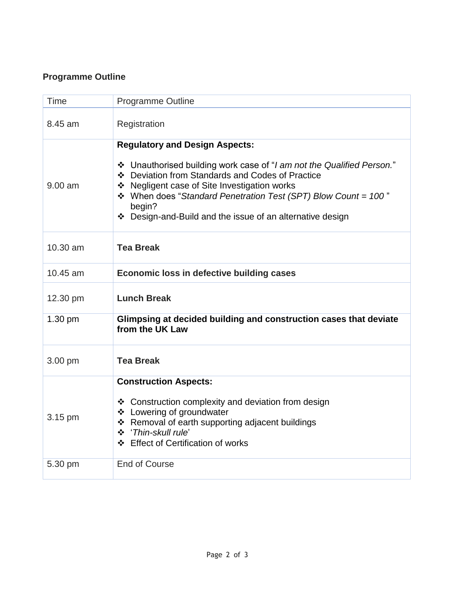## **Programme Outline**

| Time      | <b>Programme Outline</b>                                                                                                                                                                                                                                                                                                                                    |  |  |
|-----------|-------------------------------------------------------------------------------------------------------------------------------------------------------------------------------------------------------------------------------------------------------------------------------------------------------------------------------------------------------------|--|--|
| 8.45 am   | Registration                                                                                                                                                                                                                                                                                                                                                |  |  |
| $9.00$ am | <b>Regulatory and Design Aspects:</b><br>* Unauthorised building work case of "I am not the Qualified Person."<br>❖ Deviation from Standards and Codes of Practice<br>❖ Negligent case of Site Investigation works<br>❖ When does "Standard Penetration Test (SPT) Blow Count = 100"<br>begin?<br>❖ Design-and-Build and the issue of an alternative design |  |  |
| 10.30 am  | <b>Tea Break</b>                                                                                                                                                                                                                                                                                                                                            |  |  |
| 10.45 am  | Economic loss in defective building cases                                                                                                                                                                                                                                                                                                                   |  |  |
| 12.30 pm  | <b>Lunch Break</b>                                                                                                                                                                                                                                                                                                                                          |  |  |
| 1.30 pm   | Glimpsing at decided building and construction cases that deviate<br>from the UK Law                                                                                                                                                                                                                                                                        |  |  |
| 3.00 pm   | <b>Tea Break</b>                                                                                                                                                                                                                                                                                                                                            |  |  |
| 3.15 pm   | <b>Construction Aspects:</b><br>❖ Construction complexity and deviation from design<br>❖ Lowering of groundwater<br>❖ Removal of earth supporting adjacent buildings<br>* 'Thin-skull rule'<br>❖ Effect of Certification of works                                                                                                                           |  |  |
| 5.30 pm   | <b>End of Course</b>                                                                                                                                                                                                                                                                                                                                        |  |  |